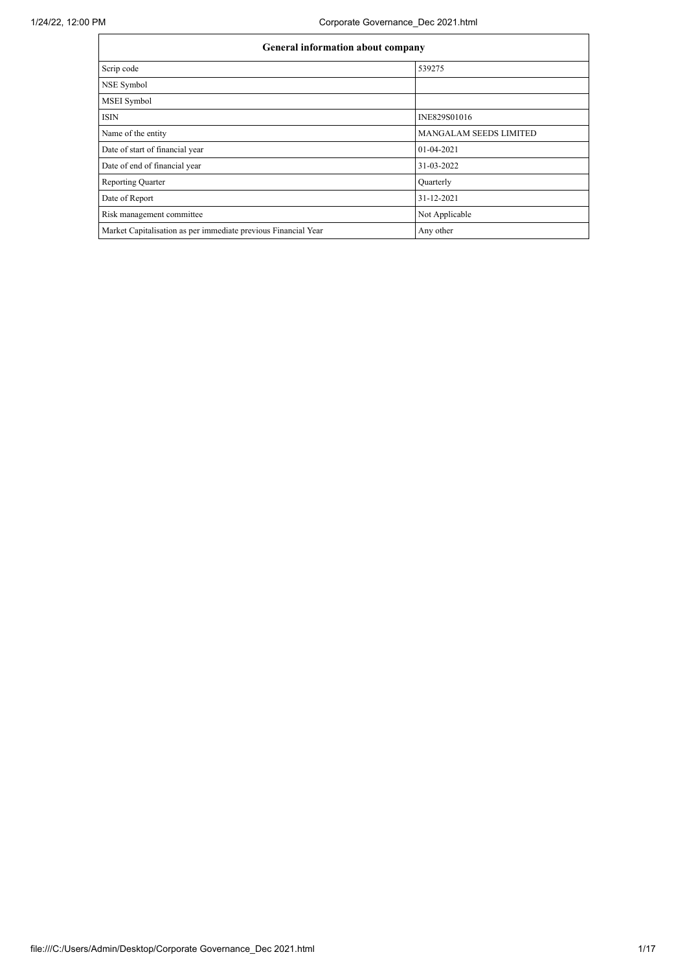| General information about company                              |                               |
|----------------------------------------------------------------|-------------------------------|
| Scrip code                                                     | 539275                        |
| NSE Symbol                                                     |                               |
| MSEI Symbol                                                    |                               |
| <b>ISIN</b>                                                    | INE829S01016                  |
| Name of the entity                                             | <b>MANGALAM SEEDS LIMITED</b> |
| Date of start of financial year                                | 01-04-2021                    |
| Date of end of financial year                                  | 31-03-2022                    |
| <b>Reporting Quarter</b>                                       | Quarterly                     |
| Date of Report                                                 | 31-12-2021                    |
| Risk management committee                                      | Not Applicable                |
| Market Capitalisation as per immediate previous Financial Year | Any other                     |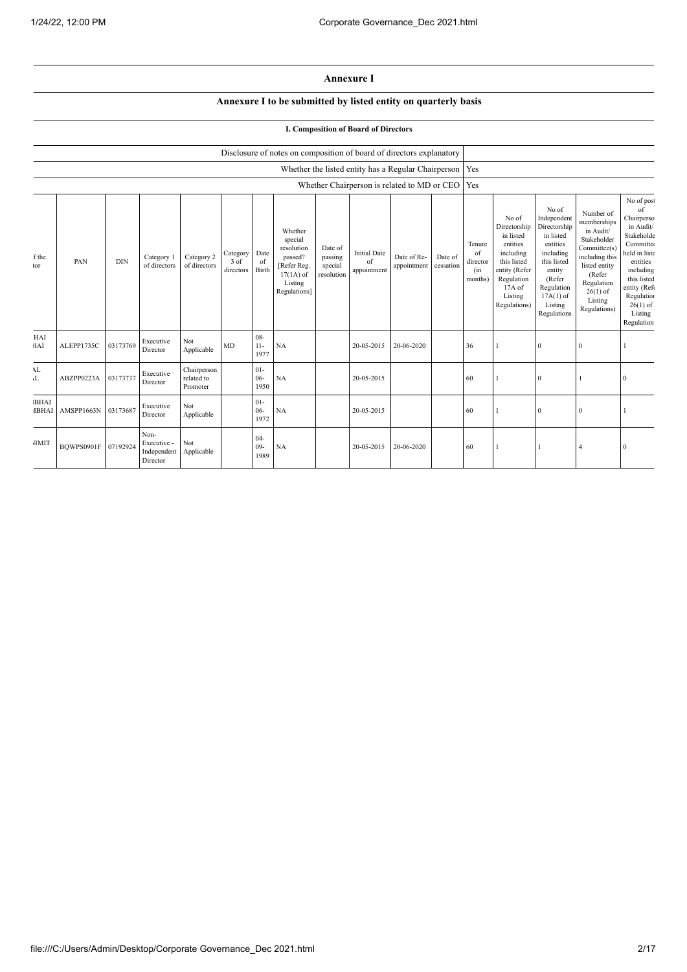## **Annexure I**

## **Annexure I to be submitted by listed entity on quarterly basis**

## **I. Composition of Board of Directors**

|                             |            |            |                                                |                                               |                               |                          | Disclosure of notes on composition of board of directors explanatory                                 |                                             |                                                           |                            |                      |                                            |                                                                                                                                                  |                                                                                                                                                                      |                                                                                                                                                                          |                                                                                                                                                                                                      |
|-----------------------------|------------|------------|------------------------------------------------|-----------------------------------------------|-------------------------------|--------------------------|------------------------------------------------------------------------------------------------------|---------------------------------------------|-----------------------------------------------------------|----------------------------|----------------------|--------------------------------------------|--------------------------------------------------------------------------------------------------------------------------------------------------|----------------------------------------------------------------------------------------------------------------------------------------------------------------------|--------------------------------------------------------------------------------------------------------------------------------------------------------------------------|------------------------------------------------------------------------------------------------------------------------------------------------------------------------------------------------------|
|                             |            |            |                                                |                                               |                               |                          |                                                                                                      |                                             | Whether the listed entity has a Regular Chairperson   Yes |                            |                      |                                            |                                                                                                                                                  |                                                                                                                                                                      |                                                                                                                                                                          |                                                                                                                                                                                                      |
|                             |            |            |                                                |                                               |                               |                          |                                                                                                      |                                             | Whether Chairperson is related to MD or CEO Yes           |                            |                      |                                            |                                                                                                                                                  |                                                                                                                                                                      |                                                                                                                                                                          |                                                                                                                                                                                                      |
| f the<br>tor                | PAN        | <b>DIN</b> | Category 1<br>of directors                     | Category 2<br>of directors                    | Category<br>3 of<br>directors | Date<br>of<br>Birth      | Whether<br>special<br>resolution<br>passed?<br>[Refer Reg.<br>$17(1A)$ of<br>Listing<br>Regulations] | Date of<br>passing<br>special<br>resolution | <b>Initial Date</b><br>of<br>appointment                  | Date of Re-<br>appointment | Date of<br>cessation | Tenure<br>of<br>director<br>(in<br>months) | No of<br>Directorship<br>in listed<br>entities<br>including<br>this listed<br>entity (Refer<br>Regulation<br>$17A$ of<br>Listing<br>Regulations) | No of<br>Independent<br>Directorship<br>in listed<br>entities<br>including<br>this listed<br>entity<br>(Refer<br>Regulation<br>$17A(1)$ of<br>Listing<br>Regulations | Number of<br>memberships<br>in Audit/<br>Stakeholder<br>Committee(s)<br>including this<br>listed entity<br>(Refer<br>Regulation<br>$26(1)$ of<br>Listing<br>Regulations) | No of post<br>of<br>Chairperso<br>in Audit/<br>Stakeholde<br>Committee<br>held in liste<br>entities<br>including<br>this listed<br>entity (Refe<br>Regulation<br>$26(1)$ of<br>Listing<br>Regulation |
| HAI<br>HAI                  | ALEPP1735C | 03173769   | Executive<br>Director                          | Not<br>Applicable                             | MD                            | $08 -$<br>$11-$<br>1977  | <b>NA</b>                                                                                            |                                             | 20-05-2015                                                | 20-06-2020                 |                      | 36                                         |                                                                                                                                                  | $\mathbf{0}$                                                                                                                                                         | $\Omega$                                                                                                                                                                 |                                                                                                                                                                                                      |
| AL<br>T                     | ABZPP0223A | 03173737   | Executive<br>Director                          | ${\bf Chairperson}$<br>related to<br>Promoter |                               | $01 -$<br>$06 -$<br>1950 | NA                                                                                                   |                                             | 20-05-2015                                                |                            |                      | 60                                         |                                                                                                                                                  | $\mathbf{0}$                                                                                                                                                         |                                                                                                                                                                          |                                                                                                                                                                                                      |
| <b>BHAI</b><br><b>IBHAI</b> | AMSPP1663N | 03173687   | Executive<br>Director                          | Not<br>Applicable                             |                               | $01 -$<br>$06 -$<br>1972 | NA                                                                                                   |                                             | 20-05-2015                                                |                            |                      | 60                                         |                                                                                                                                                  | $\mathbf{0}$                                                                                                                                                         | $\mathbf{0}$                                                                                                                                                             |                                                                                                                                                                                                      |
| <b>JIMIT</b>                | BOWPS0901F | 07192924   | Non-<br>Executive -<br>Independent<br>Director | Not<br>Applicable                             |                               | $04 -$<br>$09 -$<br>1989 | NA                                                                                                   |                                             | 20-05-2015                                                | 20-06-2020                 |                      | 60                                         |                                                                                                                                                  |                                                                                                                                                                      |                                                                                                                                                                          |                                                                                                                                                                                                      |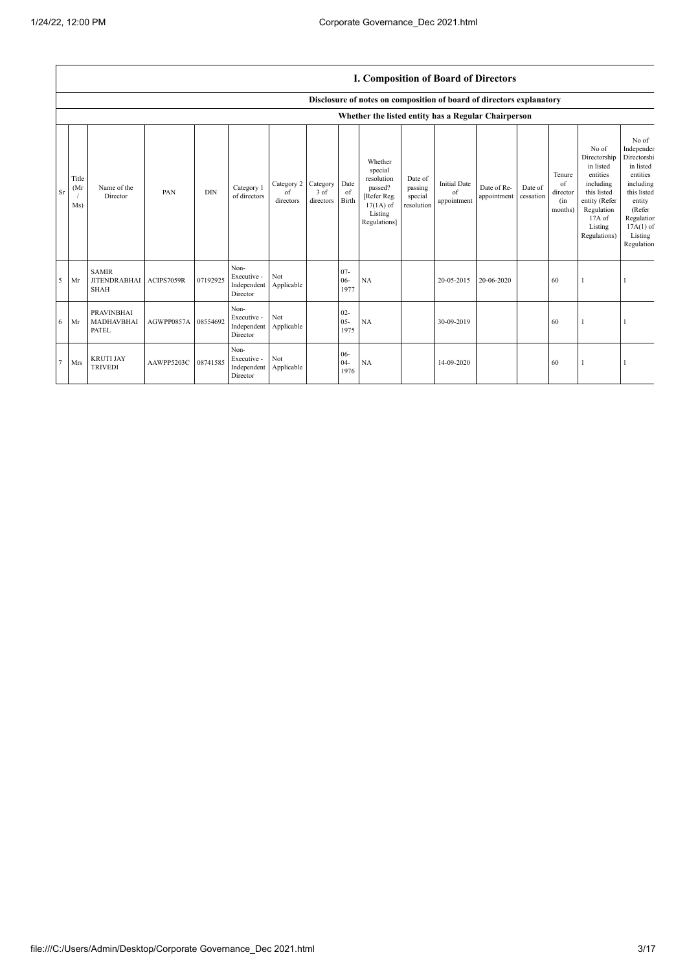|           | <b>I. Composition of Board of Directors</b> |                                                    |                     |            |                                                |                               |                               |                          |                                                                                                      |                                             |                                          |                            |                      |                                            |                                                                                                                                                |                                                                                                                                                                   |
|-----------|---------------------------------------------|----------------------------------------------------|---------------------|------------|------------------------------------------------|-------------------------------|-------------------------------|--------------------------|------------------------------------------------------------------------------------------------------|---------------------------------------------|------------------------------------------|----------------------------|----------------------|--------------------------------------------|------------------------------------------------------------------------------------------------------------------------------------------------|-------------------------------------------------------------------------------------------------------------------------------------------------------------------|
|           |                                             |                                                    |                     |            |                                                |                               |                               |                          | Disclosure of notes on composition of board of directors explanatory                                 |                                             |                                          |                            |                      |                                            |                                                                                                                                                |                                                                                                                                                                   |
|           |                                             |                                                    |                     |            |                                                |                               |                               |                          | Whether the listed entity has a Regular Chairperson                                                  |                                             |                                          |                            |                      |                                            |                                                                                                                                                |                                                                                                                                                                   |
| <b>Sr</b> | Title<br>(Mr)<br>Ms)                        | Name of the<br>Director                            | PAN                 | <b>DIN</b> | Category 1<br>of directors                     | Category 2<br>of<br>directors | Category<br>3 of<br>directors | Date<br>of<br>Birth      | Whether<br>special<br>resolution<br>passed?<br>[Refer Reg.<br>$17(1A)$ of<br>Listing<br>Regulations] | Date of<br>passing<br>special<br>resolution | <b>Initial Date</b><br>of<br>appointment | Date of Re-<br>appointment | Date of<br>cessation | Tenure<br>of<br>director<br>(in<br>months) | No of<br>Directorship<br>in listed<br>entities<br>including<br>this listed<br>entity (Refer<br>Regulation<br>17A of<br>Listing<br>Regulations) | No of<br>Independer<br>Directorshi<br>in listed<br>entities<br>including<br>this listed<br>entity<br>(Refer<br>Regulation<br>$17A(1)$ of<br>Listing<br>Regulation |
| 5         | Mr                                          | <b>SAMIR</b><br><b>JITENDRABHAI</b><br><b>SHAH</b> | ACIPS7059R          | 07192925   | Non-<br>Executive -<br>Independent<br>Director | Not<br>Applicable             |                               | $07 -$<br>$06 -$<br>1977 | NA                                                                                                   |                                             | 20-05-2015                               | 20-06-2020                 |                      | 60                                         |                                                                                                                                                |                                                                                                                                                                   |
| 6         | Mr                                          | <b>PRAVINBHAI</b><br>MADHAVBHAI<br><b>PATEL</b>    | AGWPP0857A 08554692 |            | Non-<br>Executive -<br>Independent<br>Director | Not<br>Applicable             |                               | $02 -$<br>$05 -$<br>1975 | <b>NA</b>                                                                                            |                                             | 30-09-2019                               |                            |                      | 60                                         |                                                                                                                                                |                                                                                                                                                                   |
|           | Mrs                                         | <b>KRUTI JAY</b><br><b>TRIVEDI</b>                 | AAWPP5203C          | 08741585   | Non-<br>Executive -<br>Independent<br>Director | Not<br>Applicable             |                               | $06 -$<br>$04 -$<br>1976 | NA                                                                                                   |                                             | 14-09-2020                               |                            |                      | 60                                         |                                                                                                                                                |                                                                                                                                                                   |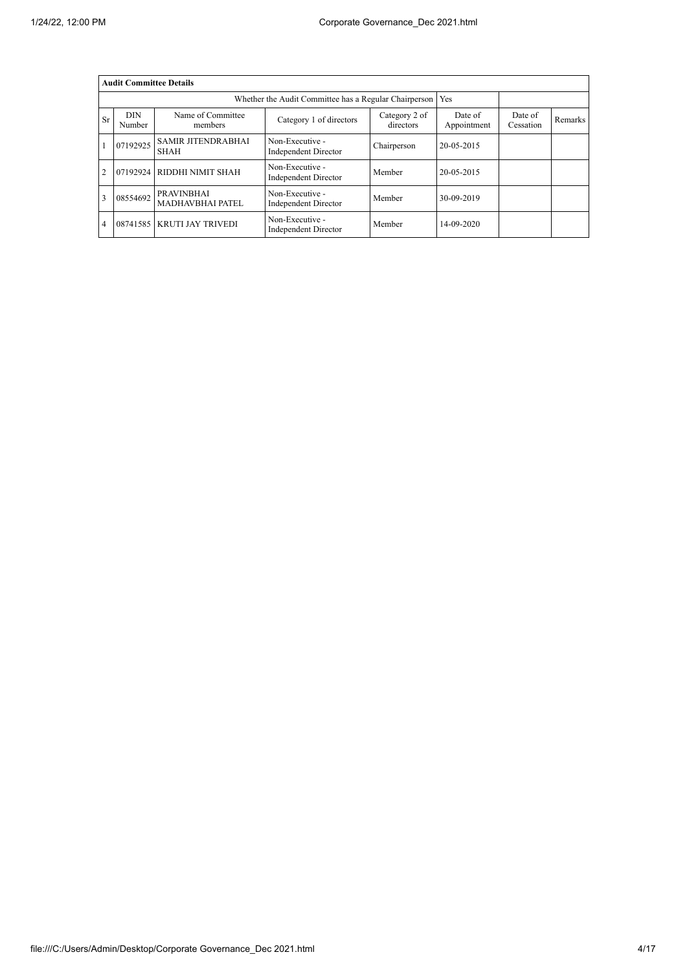|                | <b>Audit Committee Details</b> |                                              |                                                       |                            |                        |                      |         |
|----------------|--------------------------------|----------------------------------------------|-------------------------------------------------------|----------------------------|------------------------|----------------------|---------|
|                |                                |                                              | Whether the Audit Committee has a Regular Chairperson |                            | Yes                    |                      |         |
| Sr             | <b>DIN</b><br>Number           | Name of Committee<br>members                 | Category 1 of directors                               | Category 2 of<br>directors | Date of<br>Appointment | Date of<br>Cessation | Remarks |
|                | 07192925                       | <b>SAMIR JITENDRABHAI</b><br><b>SHAH</b>     | Non-Executive -<br>Independent Director               | Chairperson                | 20-05-2015             |                      |         |
| $\overline{2}$ |                                | 07192924 RIDDHI NIMIT SHAH                   | Non-Executive -<br>Independent Director               | Member                     | 20-05-2015             |                      |         |
| 3              | 08554692                       | <b>PRAVINBHAI</b><br><b>MADHAVBHAI PATEL</b> | Non-Executive -<br>Independent Director               | Member                     | 30-09-2019             |                      |         |
| $\overline{4}$ |                                | 08741585   KRUTI JAY TRIVEDI                 | Non-Executive -<br>Independent Director               | Member                     | 14-09-2020             |                      |         |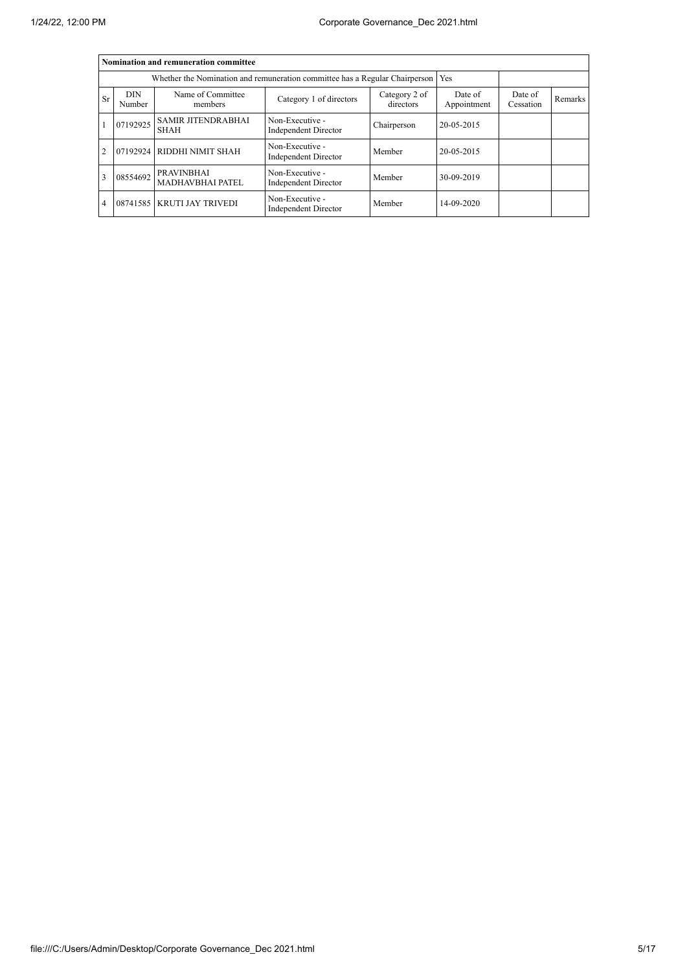|                |                      | Nomination and remuneration committee                                             |                                                |                            |                        |                      |         |
|----------------|----------------------|-----------------------------------------------------------------------------------|------------------------------------------------|----------------------------|------------------------|----------------------|---------|
|                |                      | Whether the Nomination and remuneration committee has a Regular Chairperson   Yes |                                                |                            |                        |                      |         |
| Sr             | <b>DIN</b><br>Number | Name of Committee<br>members                                                      | Category 1 of directors                        | Category 2 of<br>directors | Date of<br>Appointment | Date of<br>Cessation | Remarks |
|                | 07192925             | <b>SAMIR JITENDRABHAI</b><br><b>SHAH</b>                                          | Non-Executive -<br>Independent Director        | Chairperson                | 20-05-2015             |                      |         |
| $\overline{2}$ |                      | 07192924 RIDDHI NIMIT SHAH                                                        | Non-Executive -<br><b>Independent Director</b> | Member                     | 20-05-2015             |                      |         |
| 3              | 08554692             | <b>PRAVINBHAI</b><br><b>MADHAVBHAI PATEL</b>                                      | Non-Executive -<br>Independent Director        | Member                     | 30-09-2019             |                      |         |
| $\overline{4}$ |                      | 08741585 KRUTI JAY TRIVEDI                                                        | Non-Executive -<br>Independent Director        | Member                     | 14-09-2020             |                      |         |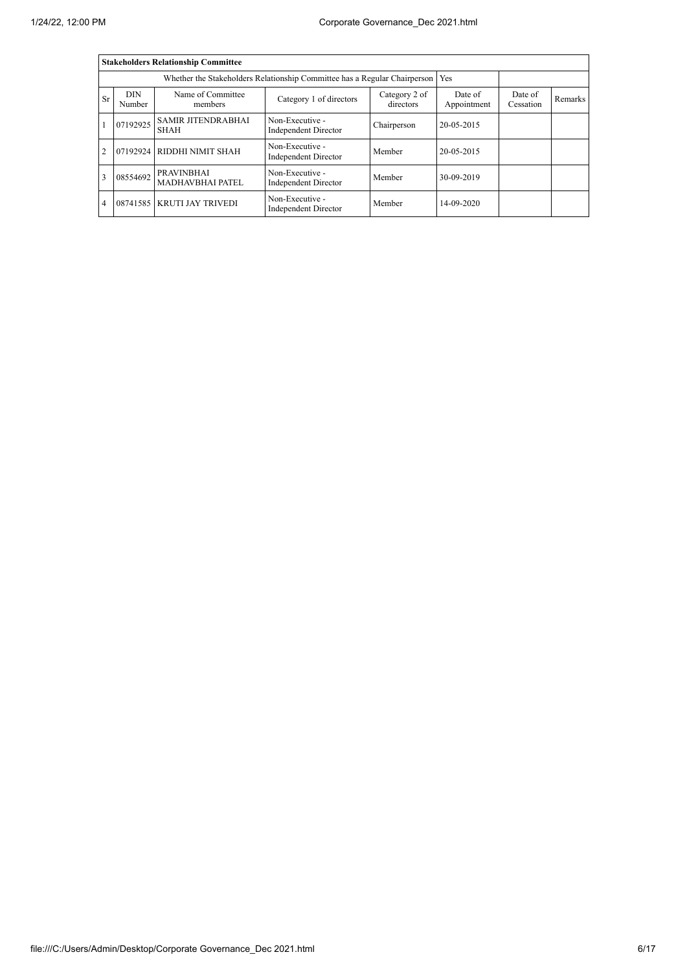|                |                      | <b>Stakeholders Relationship Committee</b> |                                                                                 |                            |                        |                      |         |
|----------------|----------------------|--------------------------------------------|---------------------------------------------------------------------------------|----------------------------|------------------------|----------------------|---------|
|                |                      |                                            | Whether the Stakeholders Relationship Committee has a Regular Chairperson   Yes |                            |                        |                      |         |
| Sr             | <b>DIN</b><br>Number | Name of Committee<br>members               | Category 1 of directors                                                         | Category 2 of<br>directors | Date of<br>Appointment | Date of<br>Cessation | Remarks |
|                | 07192925             | <b>SAMIR JITENDRABHAI</b><br><b>SHAH</b>   | Non-Executive -<br>Independent Director                                         | Chairperson                | 20-05-2015             |                      |         |
| $\overline{2}$ |                      | 07192924 RIDDHI NIMIT SHAH                 | Non-Executive -<br>Independent Director                                         | Member                     | 20-05-2015             |                      |         |
| 3              | 08554692             | <b>PRAVINBHAI</b><br>MADHAVBHAI PATEL      | Non-Executive -<br>Independent Director                                         | Member                     | 30-09-2019             |                      |         |
| $\overline{4}$ |                      | 08741585   KRUTI JAY TRIVEDI               | Non-Executive -<br>Independent Director                                         | Member                     | 14-09-2020             |                      |         |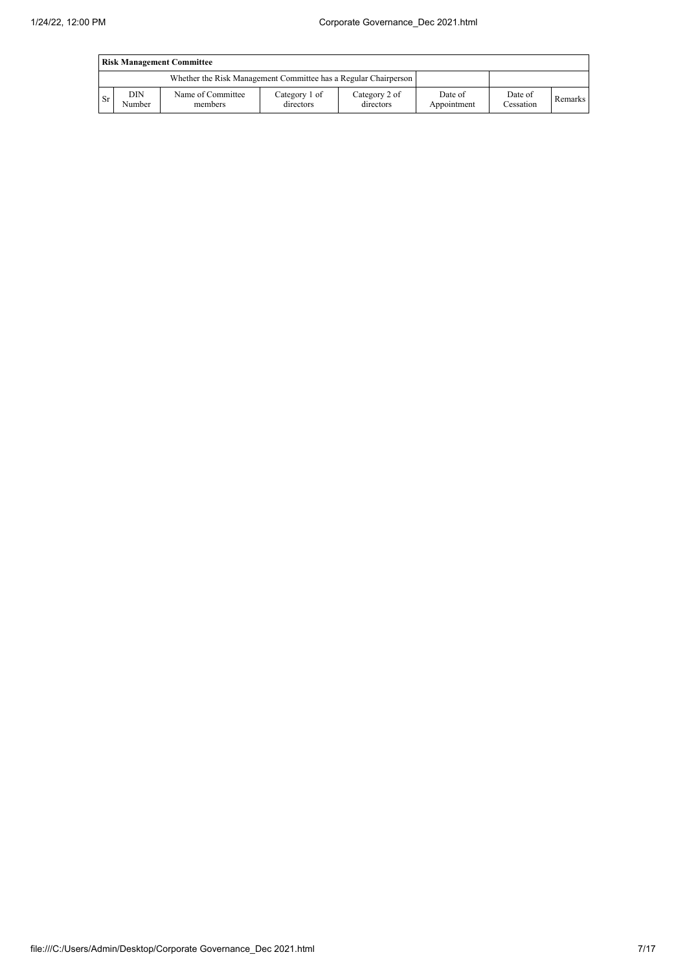|                                                                 | <b>Risk Management Committee</b> |                              |                            |                            |                        |                      |         |  |  |  |  |
|-----------------------------------------------------------------|----------------------------------|------------------------------|----------------------------|----------------------------|------------------------|----------------------|---------|--|--|--|--|
| Whether the Risk Management Committee has a Regular Chairperson |                                  |                              |                            |                            |                        |                      |         |  |  |  |  |
| l Sr                                                            | DIN<br>Number                    | Name of Committee<br>members | Category 1 of<br>directors | Category 2 of<br>directors | Date of<br>Appointment | Date of<br>Cessation | Remarks |  |  |  |  |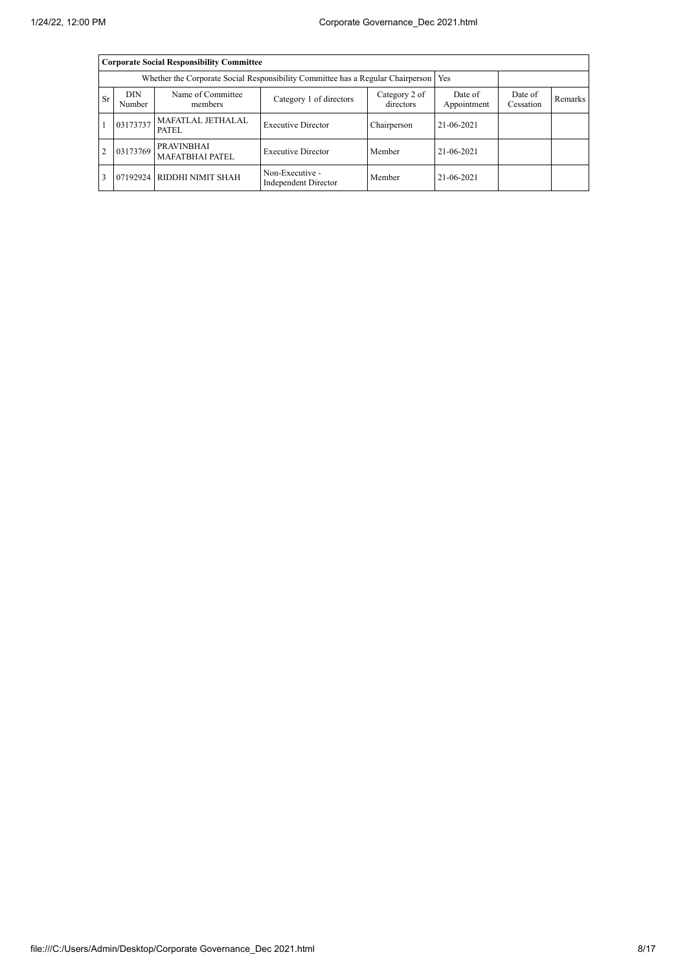|                |                      | <b>Corporate Social Responsibility Committee</b>                                      |                                         |                            |                        |                      |         |
|----------------|----------------------|---------------------------------------------------------------------------------------|-----------------------------------------|----------------------------|------------------------|----------------------|---------|
|                |                      | Whether the Corporate Social Responsibility Committee has a Regular Chairperson   Yes |                                         |                            |                        |                      |         |
| <b>Sr</b>      | <b>DIN</b><br>Number | Name of Committee<br>members                                                          | Category 1 of directors                 | Category 2 of<br>directors | Date of<br>Appointment | Date of<br>Cessation | Remarks |
|                | 03173737             | <b>MAFATLAL JETHALAL</b><br>PATEL                                                     | <b>Executive Director</b>               | Chairperson                | 21-06-2021             |                      |         |
| $\overline{2}$ | 03173769             | <b>PRAVINBHAI</b><br><b>MAFATBHAI PATEL</b>                                           | <b>Executive Director</b>               | Member                     | 21-06-2021             |                      |         |
|                |                      | 07192924 RIDDHI NIMIT SHAH                                                            | Non-Executive -<br>Independent Director | Member                     | 21-06-2021             |                      |         |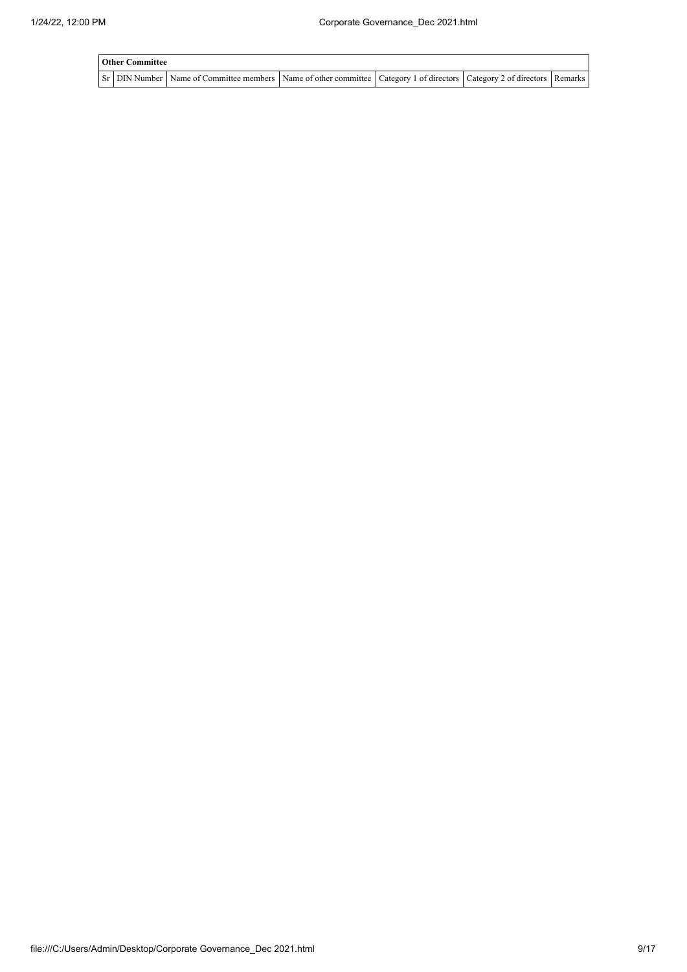| <b>Other Committee</b> |                                                                                                                                                  |  |  |  |  |  |  |  |  |  |  |
|------------------------|--------------------------------------------------------------------------------------------------------------------------------------------------|--|--|--|--|--|--|--|--|--|--|
|                        | Sr   DIN Number   Name of Committee members   Name of other committee   Category 1 of directors   Category 2 of directors   Remarks <sup> </sup> |  |  |  |  |  |  |  |  |  |  |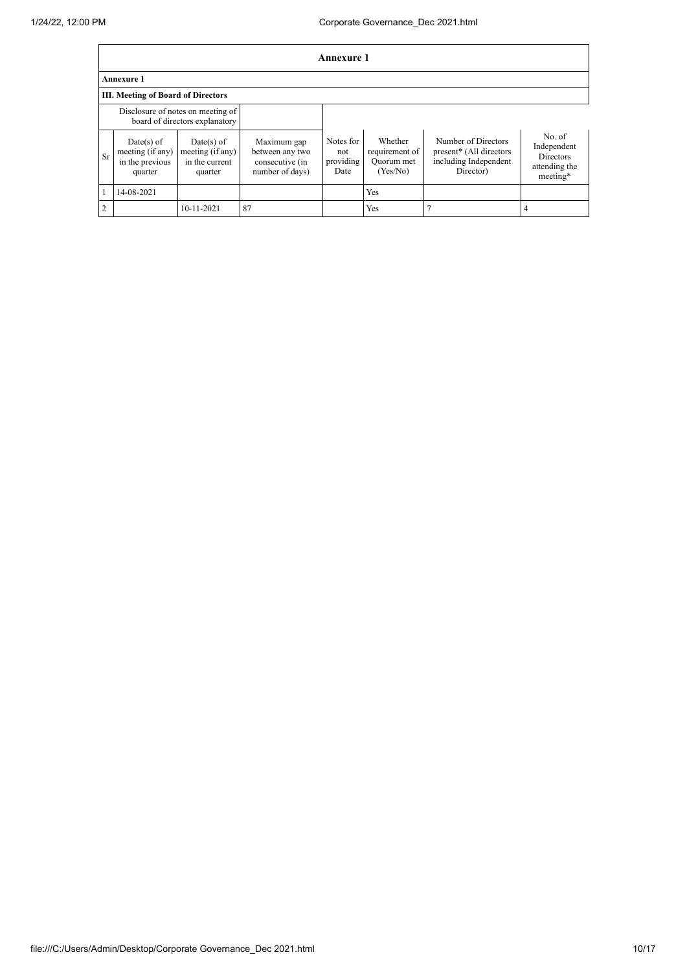|                                                                     | Annexure 1                                                   |                                                               |                                                                      |                                       |                                                     |                                                                                      |                                                                        |  |  |  |  |
|---------------------------------------------------------------------|--------------------------------------------------------------|---------------------------------------------------------------|----------------------------------------------------------------------|---------------------------------------|-----------------------------------------------------|--------------------------------------------------------------------------------------|------------------------------------------------------------------------|--|--|--|--|
|                                                                     | <b>Annexure 1</b>                                            |                                                               |                                                                      |                                       |                                                     |                                                                                      |                                                                        |  |  |  |  |
|                                                                     | <b>III. Meeting of Board of Directors</b>                    |                                                               |                                                                      |                                       |                                                     |                                                                                      |                                                                        |  |  |  |  |
| Disclosure of notes on meeting of<br>board of directors explanatory |                                                              |                                                               |                                                                      |                                       |                                                     |                                                                                      |                                                                        |  |  |  |  |
| Sr                                                                  | Date(s) of<br>meeting (if any)<br>in the previous<br>quarter | $Date(s)$ of<br>meeting (if any)<br>in the current<br>quarter | Maximum gap<br>between any two<br>consecutive (in<br>number of days) | Notes for<br>not<br>providing<br>Date | Whether<br>requirement of<br>Quorum met<br>(Yes/No) | Number of Directors<br>present* (All directors<br>including Independent<br>Director) | No. of<br>Independent<br><b>Directors</b><br>attending the<br>meeting* |  |  |  |  |
|                                                                     | 14-08-2021                                                   |                                                               |                                                                      |                                       | <b>Yes</b>                                          |                                                                                      |                                                                        |  |  |  |  |
| $\mathcal{L}$                                                       |                                                              | 10-11-2021                                                    | 87                                                                   |                                       | Yes                                                 |                                                                                      |                                                                        |  |  |  |  |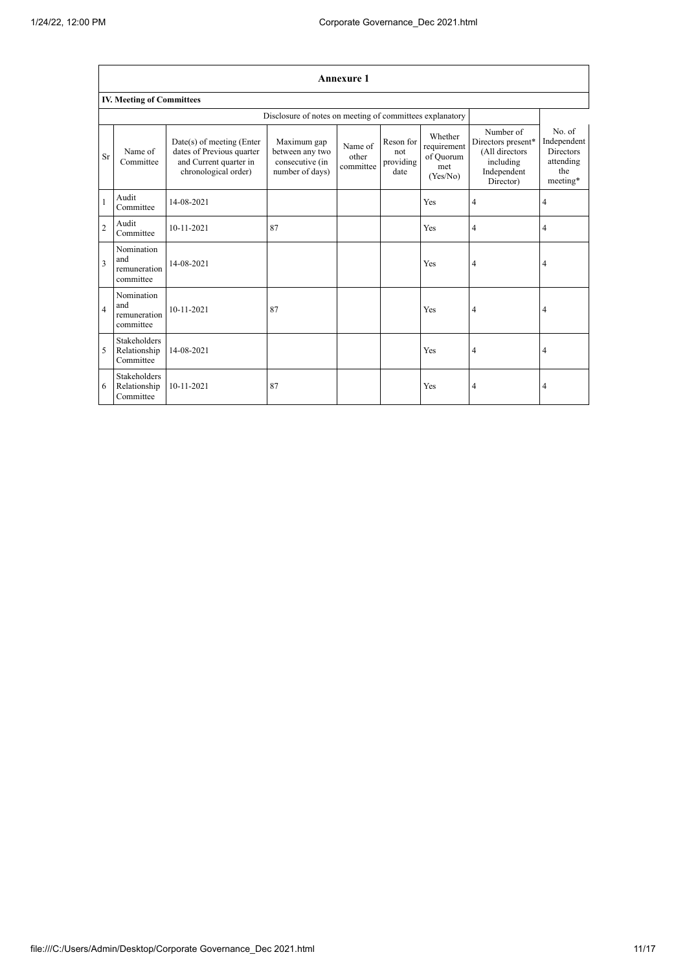$\overline{1}$ 

|                         | <b>Annexure 1</b>                                |                                                                                                          |                                                                      |                               |                                       |                                                        |                                                                                            |                                                                           |  |  |  |  |
|-------------------------|--------------------------------------------------|----------------------------------------------------------------------------------------------------------|----------------------------------------------------------------------|-------------------------------|---------------------------------------|--------------------------------------------------------|--------------------------------------------------------------------------------------------|---------------------------------------------------------------------------|--|--|--|--|
|                         | <b>IV. Meeting of Committees</b>                 |                                                                                                          |                                                                      |                               |                                       |                                                        |                                                                                            |                                                                           |  |  |  |  |
|                         |                                                  |                                                                                                          | Disclosure of notes on meeting of committees explanatory             |                               |                                       |                                                        |                                                                                            |                                                                           |  |  |  |  |
| Sr                      | Name of<br>Committee                             | Date(s) of meeting (Enter<br>dates of Previous quarter<br>and Current quarter in<br>chronological order) | Maximum gap<br>between any two<br>consecutive (in<br>number of days) | Name of<br>other<br>committee | Reson for<br>not<br>providing<br>date | Whether<br>requirement<br>of Quorum<br>met<br>(Yes/No) | Number of<br>Directors present*<br>(All directors<br>including<br>Independent<br>Director) | No. of<br>Independent<br><b>Directors</b><br>attending<br>the<br>meeting* |  |  |  |  |
| $\mathbf{1}$            | Audit<br>Committee                               | 14-08-2021                                                                                               |                                                                      |                               |                                       | Yes                                                    | 4                                                                                          | 4                                                                         |  |  |  |  |
| $\overline{2}$          | Audit<br>Committee                               | 10-11-2021                                                                                               | 87                                                                   |                               |                                       | Yes                                                    | 4                                                                                          | 4                                                                         |  |  |  |  |
| $\overline{\mathbf{3}}$ | Nomination<br>and<br>remuneration<br>committee   | 14-08-2021                                                                                               |                                                                      |                               |                                       | Yes                                                    | 4                                                                                          | 4                                                                         |  |  |  |  |
| $\overline{4}$          | Nomination<br>and<br>remuneration<br>committee   | $10 - 11 - 2021$                                                                                         | 87                                                                   |                               |                                       | Yes                                                    | 4                                                                                          | 4                                                                         |  |  |  |  |
| 5                       | <b>Stakeholders</b><br>Relationship<br>Committee | 14-08-2021                                                                                               |                                                                      |                               |                                       | Yes                                                    | 4                                                                                          | 4                                                                         |  |  |  |  |
| 6                       | <b>Stakeholders</b><br>Relationship<br>Committee | 10-11-2021                                                                                               | 87                                                                   |                               |                                       | Yes                                                    | 4                                                                                          | 4                                                                         |  |  |  |  |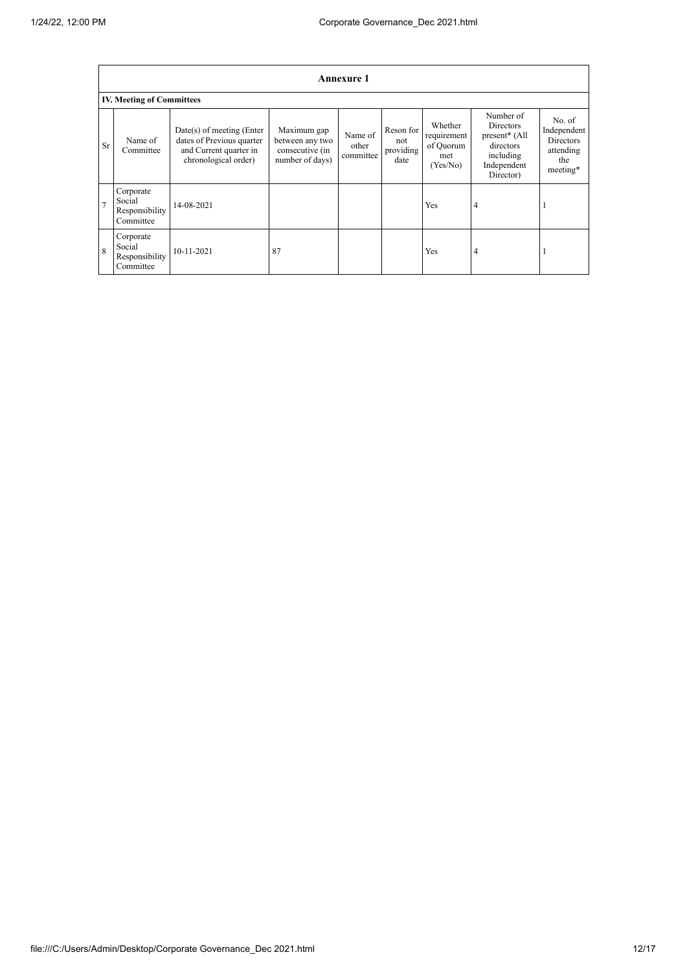|                | Annexure 1                                         |                                                                                                            |                                                                      |                               |                                       |                                                        |                                                                                                      |                                                                           |  |  |  |
|----------------|----------------------------------------------------|------------------------------------------------------------------------------------------------------------|----------------------------------------------------------------------|-------------------------------|---------------------------------------|--------------------------------------------------------|------------------------------------------------------------------------------------------------------|---------------------------------------------------------------------------|--|--|--|
|                | <b>IV. Meeting of Committees</b>                   |                                                                                                            |                                                                      |                               |                                       |                                                        |                                                                                                      |                                                                           |  |  |  |
| Sr             | Name of<br>Committee                               | $Date(s)$ of meeting (Enter<br>dates of Previous quarter<br>and Current quarter in<br>chronological order) | Maximum gap<br>between any two<br>consecutive (in<br>number of days) | Name of<br>other<br>committee | Reson for<br>not<br>providing<br>date | Whether<br>requirement<br>of Quorum<br>met<br>(Yes/No) | Number of<br><b>Directors</b><br>present* (All<br>directors<br>including<br>Independent<br>Director) | No. of<br>Independent<br><b>Directors</b><br>attending<br>the<br>meeting* |  |  |  |
| $\overline{7}$ | Corporate<br>Social<br>Responsibility<br>Committee | 14-08-2021                                                                                                 |                                                                      |                               |                                       | Yes                                                    | 4                                                                                                    |                                                                           |  |  |  |
| $\mathbf{8}$   | Corporate<br>Social<br>Responsibility<br>Committee | 10-11-2021                                                                                                 | 87                                                                   |                               |                                       | Yes                                                    | 4                                                                                                    |                                                                           |  |  |  |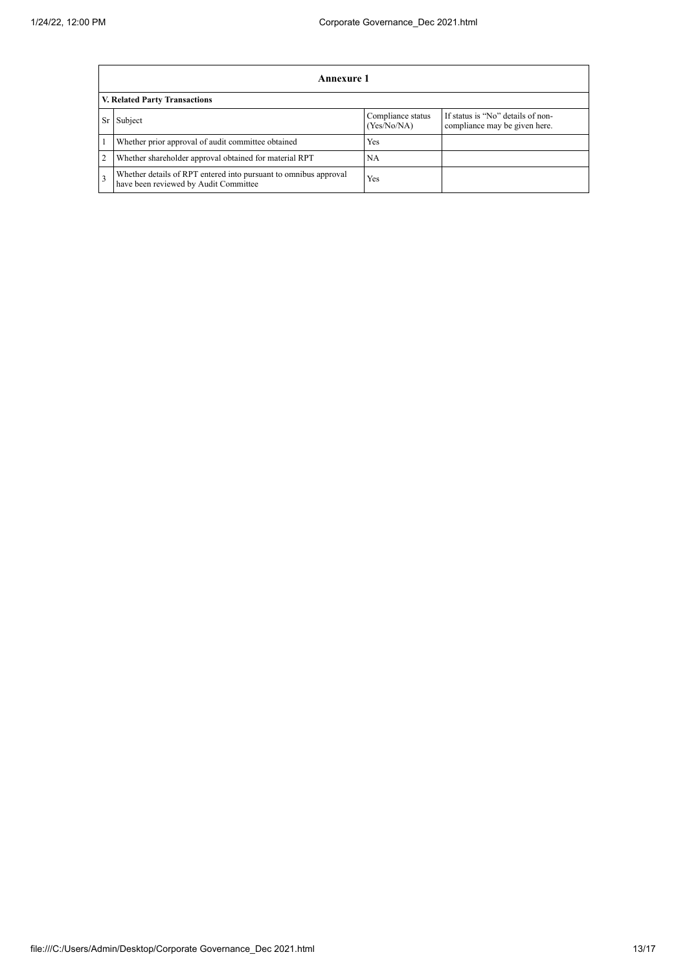|                                      | Annexure 1                                                                                                |                                  |                                                                    |  |  |  |
|--------------------------------------|-----------------------------------------------------------------------------------------------------------|----------------------------------|--------------------------------------------------------------------|--|--|--|
| <b>V. Related Party Transactions</b> |                                                                                                           |                                  |                                                                    |  |  |  |
| Sr                                   | Subject                                                                                                   | Compliance status<br>(Yes/No/NA) | If status is "No" details of non-<br>compliance may be given here. |  |  |  |
|                                      | Whether prior approval of audit committee obtained                                                        | <b>Yes</b>                       |                                                                    |  |  |  |
|                                      | Whether shareholder approval obtained for material RPT                                                    | <b>NA</b>                        |                                                                    |  |  |  |
|                                      | Whether details of RPT entered into pursuant to omnibus approval<br>have been reviewed by Audit Committee | Yes                              |                                                                    |  |  |  |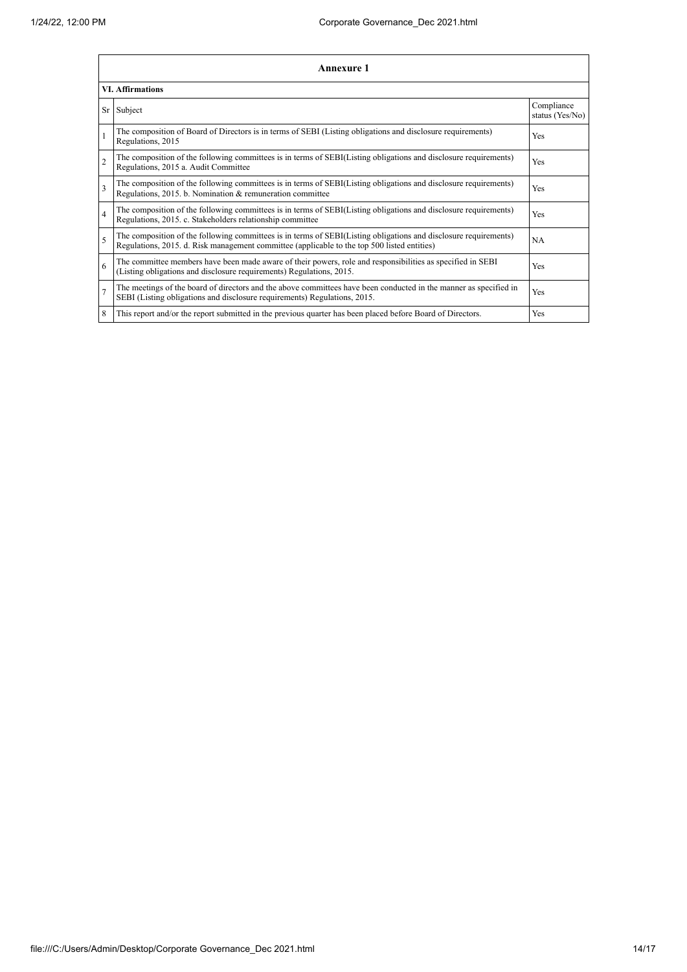|                | Annexure 1                                                                                                                                                                                                      |                               |  |  |  |  |
|----------------|-----------------------------------------------------------------------------------------------------------------------------------------------------------------------------------------------------------------|-------------------------------|--|--|--|--|
|                | <b>VI. Affirmations</b>                                                                                                                                                                                         |                               |  |  |  |  |
|                | Sr Subject                                                                                                                                                                                                      | Compliance<br>status (Yes/No) |  |  |  |  |
| 1              | The composition of Board of Directors is in terms of SEBI (Listing obligations and disclosure requirements)<br>Regulations, 2015                                                                                | Yes                           |  |  |  |  |
| $\overline{c}$ | The composition of the following committees is in terms of SEBI(Listing obligations and disclosure requirements)<br>Regulations, 2015 a. Audit Committee                                                        | Yes                           |  |  |  |  |
| 3              | The composition of the following committees is in terms of SEBI(Listing obligations and disclosure requirements)<br>Regulations, 2015. b. Nomination & remuneration committee                                   | Yes                           |  |  |  |  |
| $\overline{4}$ | The composition of the following committees is in terms of SEBI(Listing obligations and disclosure requirements)<br>Regulations, 2015. c. Stakeholders relationship committee                                   | Yes                           |  |  |  |  |
| 5              | The composition of the following committees is in terms of SEBI(Listing obligations and disclosure requirements)<br>Regulations, 2015. d. Risk management committee (applicable to the top 500 listed entities) | NA                            |  |  |  |  |
| 6              | The committee members have been made aware of their powers, role and responsibilities as specified in SEBI<br>(Listing obligations and disclosure requirements) Regulations, 2015.                              | Yes                           |  |  |  |  |
| $\overline{7}$ | The meetings of the board of directors and the above committees have been conducted in the manner as specified in<br>SEBI (Listing obligations and disclosure requirements) Regulations, 2015.                  | Yes                           |  |  |  |  |
| 8              | This report and/or the report submitted in the previous quarter has been placed before Board of Directors.                                                                                                      | Yes                           |  |  |  |  |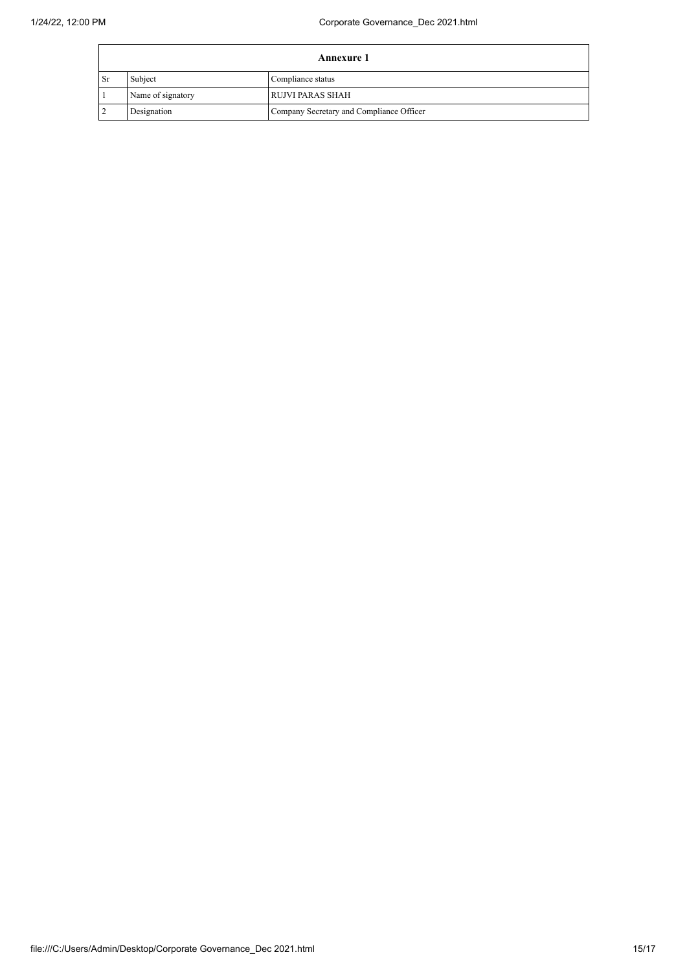| <b>Annexure 1</b> |                   |                                          |  |  |
|-------------------|-------------------|------------------------------------------|--|--|
| l Sr              | Subject           | Compliance status                        |  |  |
|                   | Name of signatory | <b>RUJVI PARAS SHAH</b>                  |  |  |
|                   | Designation       | Company Secretary and Compliance Officer |  |  |